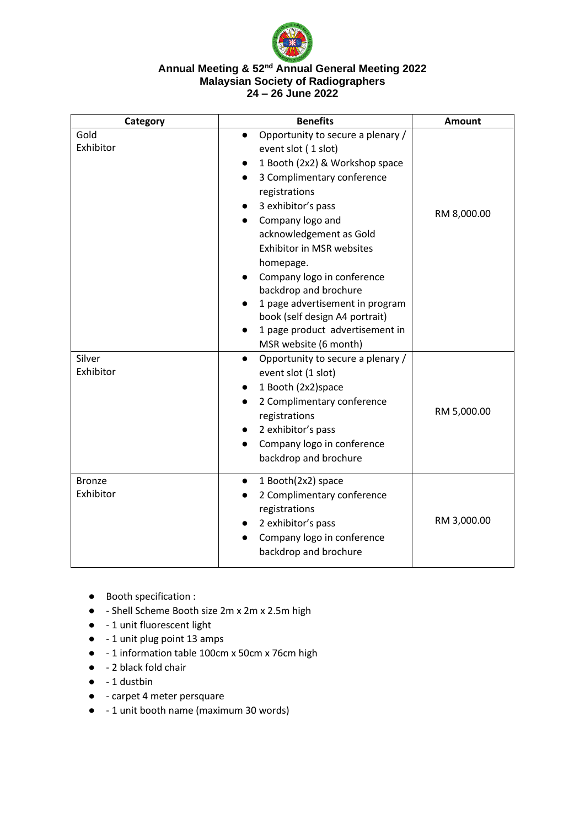

#### **Annual Meeting & 52nd Annual General Meeting 2022 Malaysian Society of Radiographers 24 – 26 June 2022**

| Category                   | <b>Benefits</b>                                                                                                                                                                                                                                                                                                                                                                                                                                                       | Amount      |
|----------------------------|-----------------------------------------------------------------------------------------------------------------------------------------------------------------------------------------------------------------------------------------------------------------------------------------------------------------------------------------------------------------------------------------------------------------------------------------------------------------------|-------------|
| Gold<br>Exhibitor          | Opportunity to secure a plenary /<br>$\bullet$<br>event slot (1 slot)<br>1 Booth (2x2) & Workshop space<br>3 Complimentary conference<br>$\bullet$<br>registrations<br>3 exhibitor's pass<br>Company logo and<br>$\bullet$<br>acknowledgement as Gold<br><b>Exhibitor in MSR websites</b><br>homepage.<br>Company logo in conference<br>backdrop and brochure<br>1 page advertisement in program<br>book (self design A4 portrait)<br>1 page product advertisement in | RM 8,000.00 |
| Silver<br>Exhibitor        | MSR website (6 month)<br>Opportunity to secure a plenary /<br>$\bullet$<br>event slot (1 slot)<br>1 Booth (2x2) space<br>2 Complimentary conference<br>$\bullet$<br>registrations<br>2 exhibitor's pass<br>Company logo in conference<br>backdrop and brochure                                                                                                                                                                                                        | RM 5,000.00 |
| <b>Bronze</b><br>Exhibitor | 1 Booth(2x2) space<br>$\bullet$<br>2 Complimentary conference<br>registrations<br>2 exhibitor's pass<br>Company logo in conference<br>backdrop and brochure                                                                                                                                                                                                                                                                                                           | RM 3,000.00 |

- Booth specification :
- - Shell Scheme Booth size 2m x 2m x 2.5m high
- - 1 unit fluorescent light
- - 1 unit plug point 13 amps
- - 1 information table 100cm x 50cm x 76cm high
- - 2 black fold chair
- $\bullet$  1 dustbin
- - carpet 4 meter persquare
- -1 unit booth name (maximum 30 words)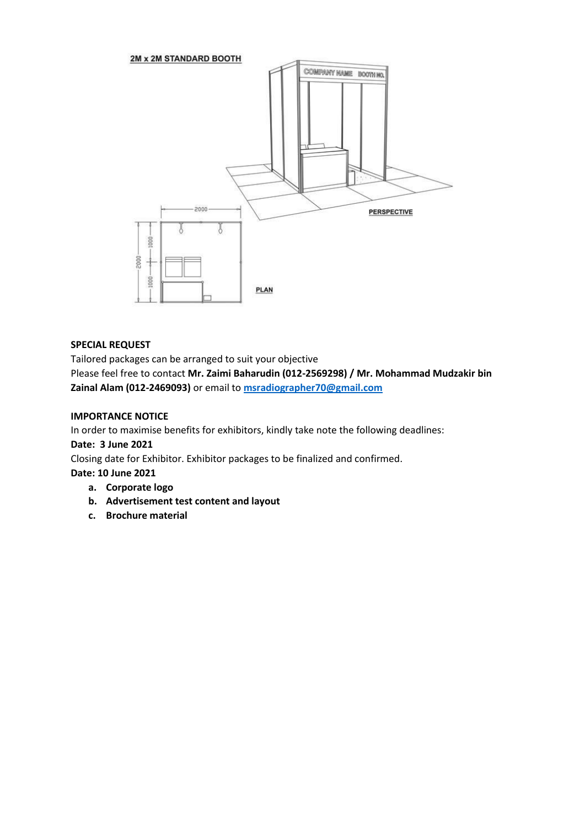

# **SPECIAL REQUEST**

Tailored packages can be arranged to suit your objective

Please feel free to contact **Mr. Zaimi Baharudin (012-2569298) / Mr. Mohammad Mudzakir bin Zainal Alam (012-2469093)** or email to **[msradiographer70@gmail.com](mailto:msradiographer70@gmail.com)**

### **IMPORTANCE NOTICE**

In order to maximise benefits for exhibitors, kindly take note the following deadlines:

# **Date: 3 June 2021**

Closing date for Exhibitor. Exhibitor packages to be finalized and confirmed.

# **Date: 10 June 2021**

- **a. Corporate logo**
- **b. Advertisement test content and layout**
- **c. Brochure material**